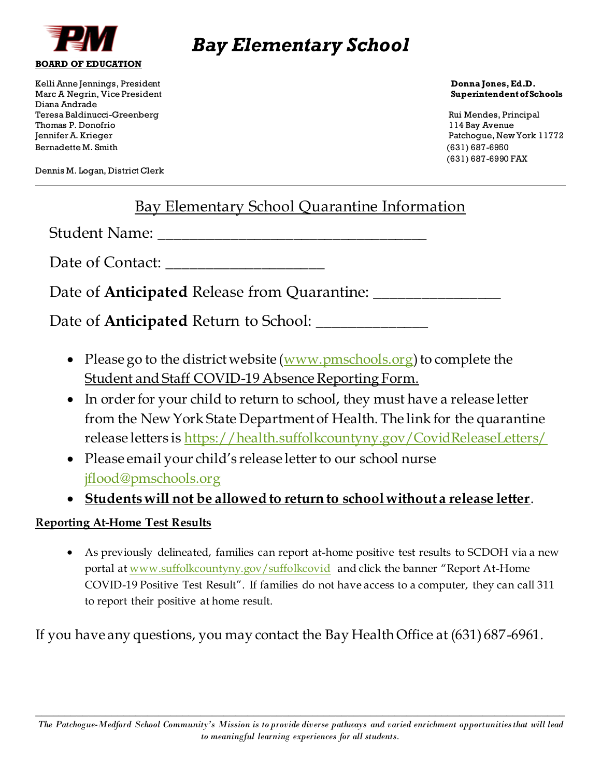

Kelli Anne Jennings, President **Donna Jones, Ed.D.**  Marc A Negrin, Vice President **Superintendent of Schools** Diana Andrade Teresa Baldinucci-Greenberg Rui Mendes, Principal Thomas P. Donofrio 114 Bay Avenue Jennifer A. Krieger Patchogue, New York 11772 Bernadette M. Smith (631) 687-6950

(631) 687-6990 FAX

Dennis M. Logan, District Clerk

## Bay Elementary School Quarantine Information

Student Name:

Date of Contact:

Date of **Anticipated** Release from Quarantine: \_\_\_\_\_\_\_\_\_\_\_\_\_\_\_\_

Date of **Anticipated** Return to School: \_\_\_\_\_\_\_\_\_\_\_\_\_\_

- Please go to the district website  $(www.pmschools.org)$  $(www.pmschools.org)$  to complete the Student and Staff COVID-19 Absence Reporting Form.
- In order for your child to return to school, they must have a release letter from the New York State Department of Health. The link for the quarantine release letters is<https://health.suffolkcountyny.gov/CovidReleaseLetters/>
- Please email your child's release letter to our school nurse [jflood@pmschools.org](mailto:jflood@pmschools.org)
- **Students will not be allowed to return to school without a release letter**.

### **Reporting At-Home Test Results**

• As previously delineated, families can report at-home positive test results to SCDOH via a new portal at [www.suffolkcountyny.gov/suffolkcovid](http://www.suffolkcountyny.gov/suffolkcovid) and click the banner "Report At-Home COVID-19 Positive Test Result". If families do not have access to a computer, they can call 311 to report their positive at home result.

If you have any questions, you may contact the Bay Health Office at (631) 687-6961.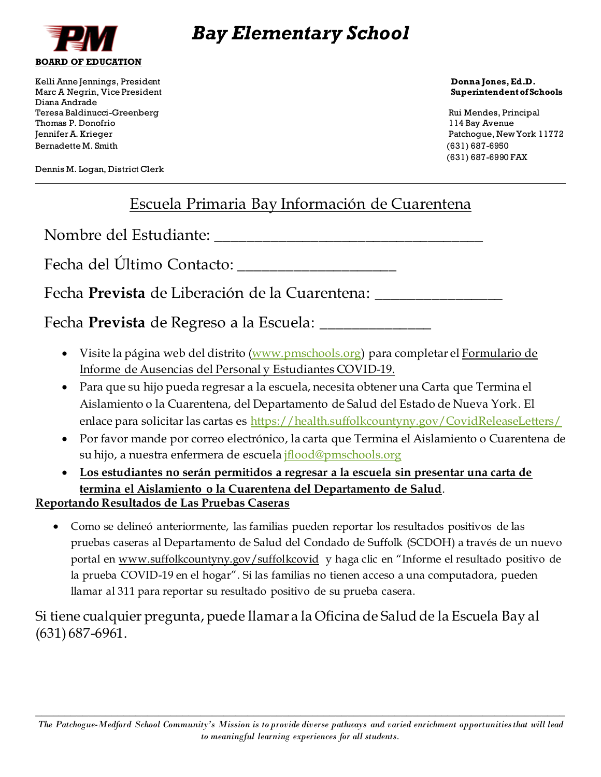

Kelli Anne Jennings, President **Donna Jones, Ed.D.**  Marc A Negrin, Vice President **Superintendent of Schools** Diana Andrade Teresa Baldinucci-Greenberg Rui Mendes, Principal Thomas P. Donofrio 114 Bay Avenue Jennifer A. Krieger Patchogue, New York 11772 Bernadette M. Smith (631) 687-6950

Dennis M. Logan, District Clerk

(631) 687-6990 FAX

## Escuela Primaria Bay Información de Cuarentena

Nombre del Estudiante:

Fecha del Último Contacto:

Fecha **Prevista** de Liberación de la Cuarentena: \_\_\_\_\_\_\_\_\_\_\_\_\_\_\_\_

Fecha **Prevista** de Regreso a la Escuela: \_\_\_\_\_\_\_\_\_\_\_\_\_\_

- Visite la página web del distrito [\(www.pmschools.org\)](http://www.pmschools.org/) para completar el Formulario de Informe de Ausencias del Personal y Estudiantes COVID-19.
- Para que su hijo pueda regresar a la escuela, necesita obtener una Carta que Termina el Aislamiento o la Cuarentena, del Departamento de Salud del Estado de Nueva York. El enlace para solicitar las cartas es <https://health.suffolkcountyny.gov/CovidReleaseLetters/>
- Por favor mande por correo electrónico, la carta que Termina el Aislamiento o Cuarentena de su hijo, a nuestra enfermera de escuel[a jflood@pmschools.org](mailto:jflood@pmschools.org)
- **Los estudiantes no serán permitidos a regresar a la escuela sin presentar una carta de termina el Aislamiento o la Cuarentena del Departamento de Salud**.

### **Reportando Resultados de Las Pruebas Caseras**

• Como se delineó anteriormente, las familias pueden reportar los resultados positivos de las pruebas caseras al Departamento de Salud del Condado de Suffolk (SCDOH) a través de un nuevo portal en [www.suffolkcountyny.gov/suffolkcovid](http://www.suffolkcountyny.gov/suffolkcovid) y haga clic en "Informe el resultado positivo de la prueba COVID-19 en el hogar". Si las familias no tienen acceso a una computadora, pueden llamar al 311 para reportar su resultado positivo de su prueba casera.

Si tiene cualquier pregunta, puede llamar a la Oficina de Salud de la Escuela Bay al (631) 687-6961.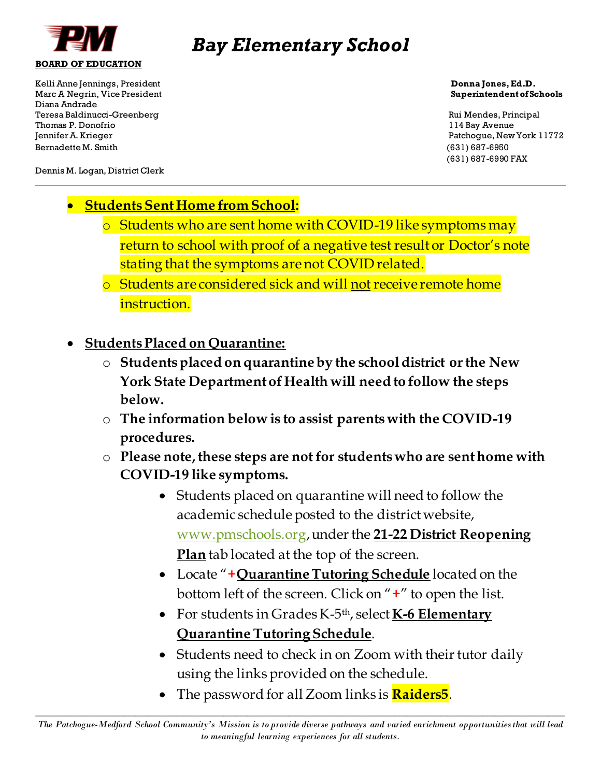

Kelli Anne Jennings, President **Donna Jones, Ed.D.**  Marc A Negrin, Vice President **Superintendent of Schools** Diana Andrade Teresa Baldinucci-Greenberg Rui Mendes, Principal Thomas P. Donofrio 114 Bay Avenue Jennifer A. Krieger Patchogue, New York 11772 Bernadette M. Smith (631) 687-6950

(631) 687-6990 FAX

Dennis M. Logan, District Clerk

- **StudentsSent Home from School:**
	- o Students who are sent home with COVID-19 like symptoms may return to school with proof of a negative test result or Doctor's note stating that the symptoms are not COVID related.
	- o Students are considered sick and will not receive remote home instruction.
- **Students Placed on Quarantine:**
	- o **Students placed on quarantine by the school district or the New York State Department of Health will need to follow the steps below.**
	- o **The information below is to assist parents with the COVID-19 procedures.**
	- o **Please note, these steps are not for students who are sent home with COVID-19 like symptoms.**
		- Students placed on quarantine will need to follow the academic schedule posted to the district website, [www.pmschools.org](http://www.pmschools.org/), under the **21-22 District Reopening Plan** tab located at the top of the screen.
		- Locate "**+QuarantineTutoring Schedule** located on the bottom left of the screen. Click on "**+**" to open the list.
		- For students in Grades K-5 th, select **K-6 Elementary Quarantine Tutoring Schedule**.
		- Students need to check in on Zoom with their tutor daily using the links provided on the schedule.
		- The password for all Zoom links is **Raiders5**.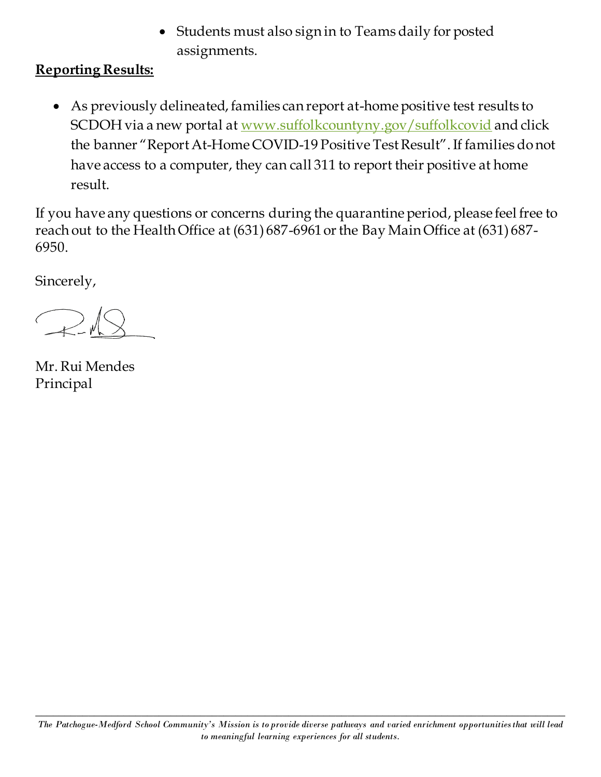• Students must also sign in to Teams daily for posted assignments.

## **Reporting Results:**

• As previously delineated, families can report at-home positive test results to SCDOH via a new portal at [www.suffolkcountyny.gov/suffolkcovid](http://www.suffolkcountyny.gov/suffolkcovid) and click the banner "Report At-Home COVID-19 Positive Test Result". If families do not have access to a computer, they can call 311 to report their positive at home result.

If you have any questions or concerns during the quarantine period, please feel free to reach out to the Health Office at (631) 687-6961 or the Bay Main Office at (631) 687- 6950.

Sincerely,

 $\mathbb{R}$ 

Mr. Rui Mendes Principal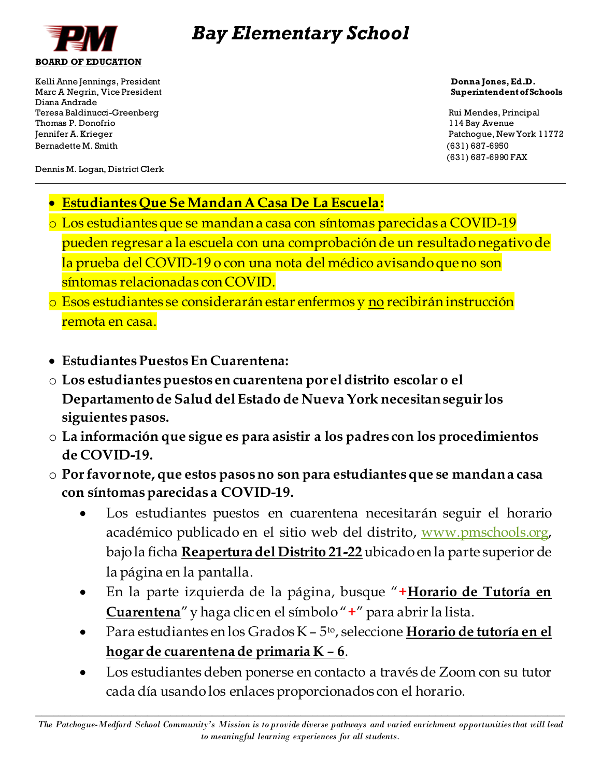

Kelli Anne Jennings, President **Donna Jones, Ed.D. Donna Jones, Ed.D. Donna Jones, Ed.D.** Marc A Negrin, Vice President **Superintendent of Schools** Diana Andrade Teresa Baldinucci-Greenberg Rui Mendes, Principal Thomas P. Donofrio 114 Bay Avenue Jennifer A. Krieger Patchogue, New York 11772 Bernadette M. Smith (631) 687-6950

(631) 687-6990 FAX

Dennis M. Logan, District Clerk

- **Estudiantes Que Se Mandan A Casa De La Escuela:**
- o Los estudiantes que se mandan a casa con síntomas parecidas a COVID-19 pueden regresar a la escuela con una comprobación de un resultado negativo de la prueba del COVID-19 o con una nota del médico avisando que no son síntomas relacionadas con COVID.
- o Esos estudiantes se considerarán estar enfermos y no recibirán instrucción remota en casa.
- **Estudiantes Puestos En Cuarentena:**
- o **Los estudiantes puestos en cuarentena por el distrito escolar o el Departamento de Salud del Estado de Nueva York necesitan seguir los siguientes pasos.**
- o **La información que sigue es para asistir a los padres con los procedimientos de COVID-19.**
- o **Por favor note, que estos pasos no son para estudiantes que se mandan a casa con síntomas parecidas a COVID-19.**
	- Los estudiantes puestos en cuarentena necesitarán seguir el horario académico publicado en el sitio web del distrito, [www.pmschools.org,](http://www.pmschools.org/) bajo la ficha **Reapertura del Distrito 21-22** ubicado en la parte superior de la página en la pantalla.
	- En la parte izquierda de la página, busque "**+Horario de Tutoría en Cuarentena**"y haga clic en el símbolo "**+**" para abrir la lista.
	- Para estudiantes en los Grados K 5 to, seleccione **Horario de tutoría en el hogar de cuarentena de primaria K – 6**.
	- Los estudiantes deben ponerse en contacto a través de Zoom con su tutor cada día usando los enlaces proporcionados con el horario.